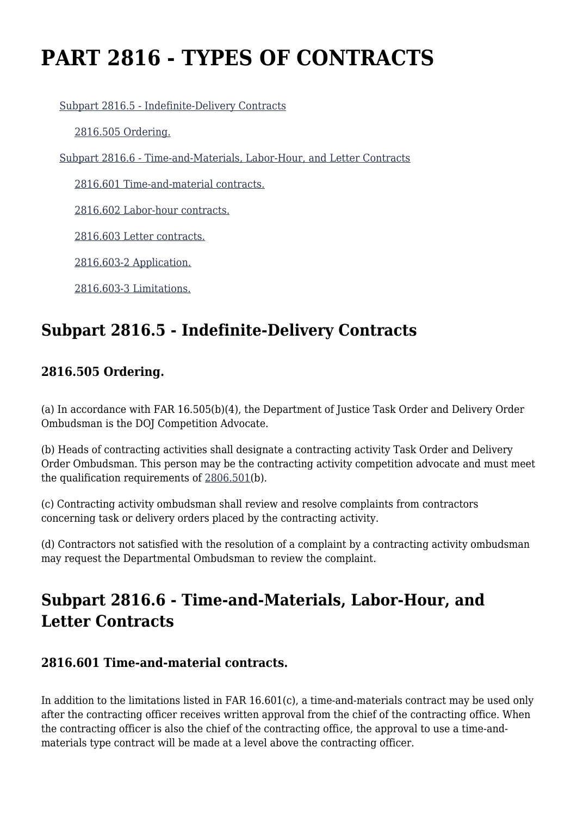# **PART 2816 - TYPES OF CONTRACTS**

[Subpart 2816.5 - Indefinite-Delivery Contracts](https://login.acquisition.gov/%5Brp:link:jar-part-2816%5D#Subpart_2816_5_T48_601162161)

[2816.505 Ordering.](https://login.acquisition.gov/%5Brp:link:jar-part-2816%5D#Section_2816_505_T48_60116216111)

[Subpart 2816.6 - Time-and-Materials, Labor-Hour, and Letter Contracts](https://login.acquisition.gov/%5Brp:link:jar-part-2816%5D#Subpart_2816_6_T48_601162162)

[2816.601 Time-and-material contracts.](https://login.acquisition.gov/%5Brp:link:jar-part-2816%5D#Section_2816_601_T48_60116216211)

[2816.602 Labor-hour contracts.](https://login.acquisition.gov/%5Brp:link:jar-part-2816%5D#Section_2816_602_T48_60116216212)

[2816.603 Letter contracts.](https://login.acquisition.gov/%5Brp:link:jar-part-2816%5D#Section_2816_603_T48_60116216213)

[2816.603-2 Application.](https://login.acquisition.gov/%5Brp:link:jar-part-2816%5D#Section_2816_603_2_T48_60116216214)

[2816.603-3 Limitations.](https://login.acquisition.gov/%5Brp:link:jar-part-2816%5D#Section_2816_603_3_T48_60116216215)

# **Subpart 2816.5 - Indefinite-Delivery Contracts**

## **2816.505 Ordering.**

(a) In accordance with FAR 16.505(b)(4), the Department of Justice Task Order and Delivery Order Ombudsman is the DOJ Competition Advocate.

(b) Heads of contracting activities shall designate a contracting activity Task Order and Delivery Order Ombudsman. This person may be the contracting activity competition advocate and must meet the qualification requirements of [2806.501\(](https://login.acquisition.gov/%5Brp:link:jar-part-2806%5D#Section_2806_501_T48_6011617211)b).

(c) Contracting activity ombudsman shall review and resolve complaints from contractors concerning task or delivery orders placed by the contracting activity.

(d) Contractors not satisfied with the resolution of a complaint by a contracting activity ombudsman may request the Departmental Ombudsman to review the complaint.

# **Subpart 2816.6 - Time-and-Materials, Labor-Hour, and Letter Contracts**

## **2816.601 Time-and-material contracts.**

In addition to the limitations listed in FAR 16.601(c), a time-and-materials contract may be used only after the contracting officer receives written approval from the chief of the contracting office. When the contracting officer is also the chief of the contracting office, the approval to use a time-andmaterials type contract will be made at a level above the contracting officer.